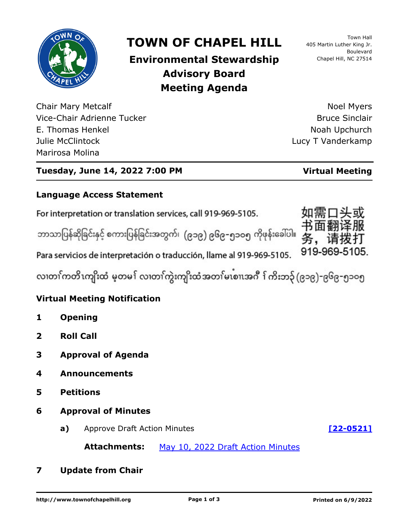

# **TOWN OF CHAPEL HILL**

## **Environmental Stewardship Advisory Board Meeting Agenda**

Chair Mary Metcalf Vice-Chair Adrienne Tucker E. Thomas Henkel Julie McClintock Marirosa Molina

Town Hall 405 Martin Luther King Jr. Boulevard Chapel Hill, NC 27514

Noel Myers Bruce Sinclair Noah Upchurch Lucy T Vanderkamp

### **Tuesday, June 14, 2022 7:00 PM Virtual Meeting**

### **Language Access Statement**

For interpretation or translation services, call 919-969-5105.

ဘာသာပြန်ဆိုခြင်းနှင့် စကားပြန်ခြင်းအတွက်၊ (၉၁၉) ၉၆၉–၅၁ဝ၅ ကိုဖုန်းခေါ်ပါ။



Para servicios de interpretación o traducción, llame al 919-969-5105.

လ၊တၢ်ကတိၤကျိးထံ မူတမ႑် လ၊တၢ်ကွဲးကျိးထံအတၤ်မၤစၢ၊အဂီ ႑်ကိးဘ၃် (၉၁၉)-၉၆၉-၅၁၀၅

### **Virtual Meeting Notification**

- **1 Opening**
- **2 Roll Call**
- **3 Approval of Agenda**
- **4 Announcements**
- **5 Petitions**
- **6 Approval of Minutes**
	- **a)** Approve Draft Action Minutes **[\[22-0521\]](http://chapelhill.legistar.com/gateway.aspx?m=l&id=/matter.aspx?key=8080)**

Attachments: [May 10, 2022 Draft Action Minutes](https://chapelhill.legistar1.com/chapelhill/meetings/2022/5/1855_M_Environmental_Stewardship_Advisory_Board_22-05-10_Meeting_Minutes.pdf?id=70589368-f668-44d5-b563-f1c21036d0f1)

**7 Update from Chair**

**http://www.townofchapelhill.org Page 1 of 3 Printed on 6/9/2022**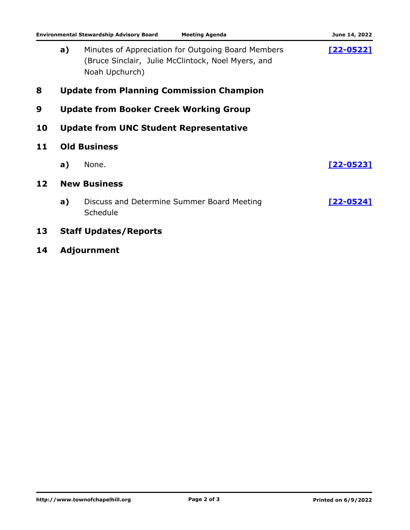| <b>Environmental Stewardship Advisory Board</b><br><b>Meeting Agenda</b> |                                                 |                                                                                                                            | June 14, 2022    |  |
|--------------------------------------------------------------------------|-------------------------------------------------|----------------------------------------------------------------------------------------------------------------------------|------------------|--|
|                                                                          | a)                                              | Minutes of Appreciation for Outgoing Board Members<br>(Bruce Sinclair, Julie McClintock, Noel Myers, and<br>Noah Upchurch) | $[22 - 0522]$    |  |
| 8                                                                        | <b>Update from Planning Commission Champion</b> |                                                                                                                            |                  |  |
| 9                                                                        |                                                 | <b>Update from Booker Creek Working Group</b>                                                                              |                  |  |
| 10                                                                       | <b>Update from UNC Student Representative</b>   |                                                                                                                            |                  |  |
| 11                                                                       | <b>Old Business</b>                             |                                                                                                                            |                  |  |
|                                                                          | a)                                              | None.                                                                                                                      | <u>[22-0523]</u> |  |
| 12                                                                       |                                                 | <b>New Business</b>                                                                                                        |                  |  |
|                                                                          | a)                                              | Discuss and Determine Summer Board Meeting<br>Schedule                                                                     | $[22 - 0524]$    |  |
| 13                                                                       |                                                 | <b>Staff Updates/Reports</b>                                                                                               |                  |  |

**14 Adjournment**